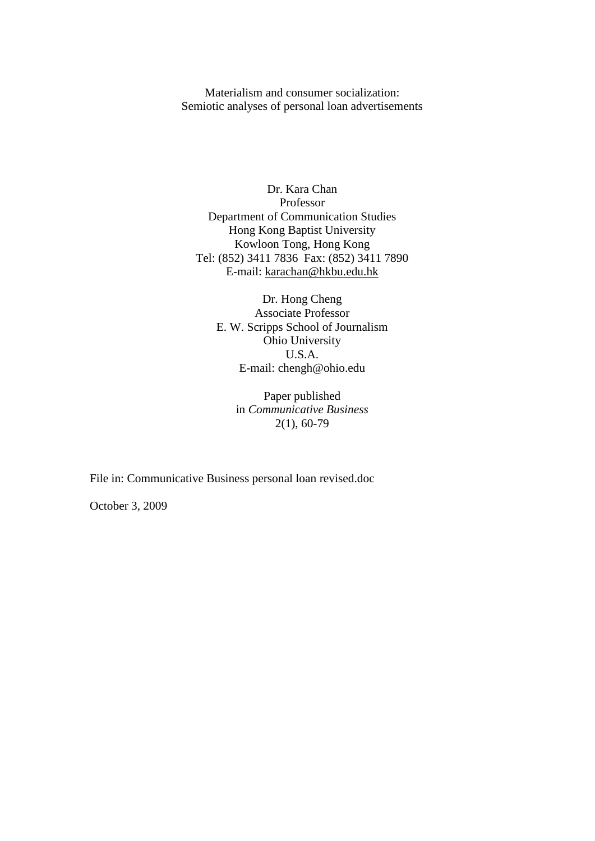Materialism and consumer socialization: Semiotic analyses of personal loan advertisements

Dr. Kara Chan Professor Department of Communication Studies Hong Kong Baptist University Kowloon Tong, Hong Kong Tel: (852) 3411 7836 Fax: (852) 3411 7890 E-mail: [karachan@hkbu.edu.hk](mailto:karachan@hkbu.edu.hk)

Dr. Hong Cheng Associate Professor E. W. Scripps School of Journalism Ohio University U.S.A. E-mail: chengh@ohio.edu

> Paper published in *Communicative Business* 2(1), 60-79

File in: Communicative Business personal loan revised.doc

October 3, 2009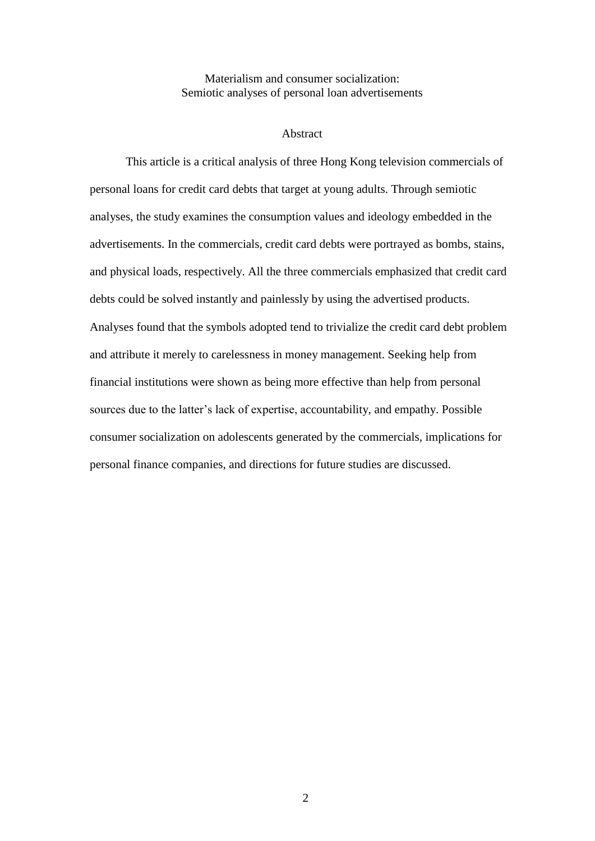## Materialism and consumer socialization: Semiotic analyses of personal loan advertisements

#### Abstract

This article is a critical analysis of three Hong Kong television commercials of personal loans for credit card debts that target at young adults. Through semiotic analyses, the study examines the consumption values and ideology embedded in the advertisements. In the commercials, credit card debts were portrayed as bombs, stains, and physical loads, respectively. All the three commercials emphasized that credit card debts could be solved instantly and painlessly by using the advertised products. Analyses found that the symbols adopted tend to trivialize the credit card debt problem and attribute it merely to carelessness in money management. Seeking help from financial institutions were shown as being more effective than help from personal sources due to the latter's lack of expertise, accountability, and empathy. Possible consumer socialization on adolescents generated by the commercials, implications for personal finance companies, and directions for future studies are discussed.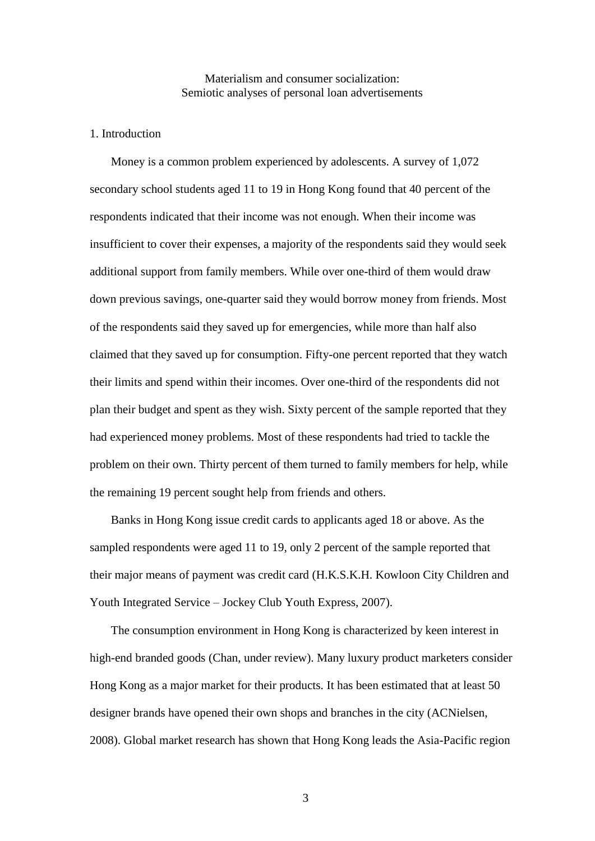## Materialism and consumer socialization: Semiotic analyses of personal loan advertisements

#### 1. Introduction

Money is a common problem experienced by adolescents. A survey of 1,072 secondary school students aged 11 to 19 in Hong Kong found that 40 percent of the respondents indicated that their income was not enough. When their income was insufficient to cover their expenses, a majority of the respondents said they would seek additional support from family members. While over one-third of them would draw down previous savings, one-quarter said they would borrow money from friends. Most of the respondents said they saved up for emergencies, while more than half also claimed that they saved up for consumption. Fifty-one percent reported that they watch their limits and spend within their incomes. Over one-third of the respondents did not plan their budget and spent as they wish. Sixty percent of the sample reported that they had experienced money problems. Most of these respondents had tried to tackle the problem on their own. Thirty percent of them turned to family members for help, while the remaining 19 percent sought help from friends and others.

Banks in Hong Kong issue credit cards to applicants aged 18 or above. As the sampled respondents were aged 11 to 19, only 2 percent of the sample reported that their major means of payment was credit card (H.K.S.K.H. Kowloon City Children and Youth Integrated Service – Jockey Club Youth Express, 2007).

The consumption environment in Hong Kong is characterized by keen interest in high-end branded goods (Chan, under review). Many luxury product marketers consider Hong Kong as a major market for their products. It has been estimated that at least 50 designer brands have opened their own shops and branches in the city (ACNielsen, 2008). Global market research has shown that Hong Kong leads the Asia-Pacific region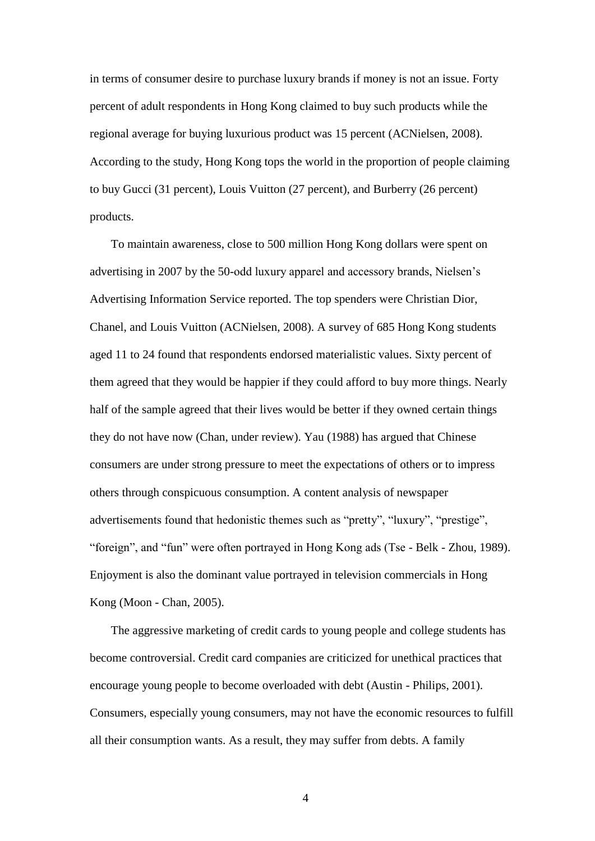in terms of consumer desire to purchase luxury brands if money is not an issue. Forty percent of adult respondents in Hong Kong claimed to buy such products while the regional average for buying luxurious product was 15 percent (ACNielsen, 2008). According to the study, Hong Kong tops the world in the proportion of people claiming to buy Gucci (31 percent), Louis Vuitton (27 percent), and Burberry (26 percent) products.

To maintain awareness, close to 500 million Hong Kong dollars were spent on advertising in 2007 by the 50-odd luxury apparel and accessory brands, Nielsen's Advertising Information Service reported. The top spenders were Christian Dior, Chanel, and Louis Vuitton (ACNielsen, 2008). A survey of 685 Hong Kong students aged 11 to 24 found that respondents endorsed materialistic values. Sixty percent of them agreed that they would be happier if they could afford to buy more things. Nearly half of the sample agreed that their lives would be better if they owned certain things they do not have now (Chan, under review). Yau (1988) has argued that Chinese consumers are under strong pressure to meet the expectations of others or to impress others through conspicuous consumption. A content analysis of newspaper advertisements found that hedonistic themes such as "pretty", "luxury", "prestige", "foreign", and "fun" were often portrayed in Hong Kong ads (Tse - Belk - Zhou, 1989). Enjoyment is also the dominant value portrayed in television commercials in Hong Kong (Moon - Chan, 2005).

The aggressive marketing of credit cards to young people and college students has become controversial. Credit card companies are criticized for unethical practices that encourage young people to become overloaded with debt (Austin - Philips, 2001). Consumers, especially young consumers, may not have the economic resources to fulfill all their consumption wants. As a result, they may suffer from debts. A family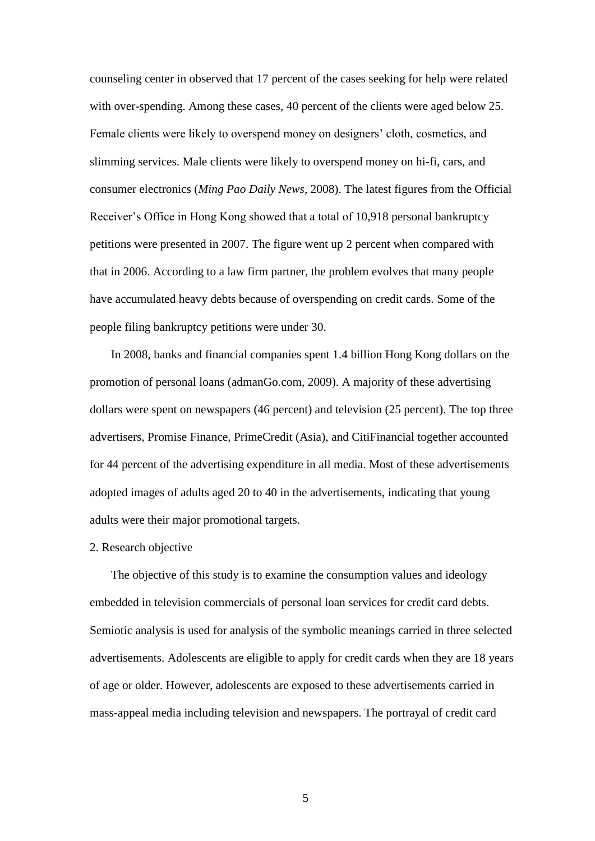counseling center in observed that 17 percent of the cases seeking for help were related with over-spending. Among these cases, 40 percent of the clients were aged below 25. Female clients were likely to overspend money on designers' cloth, cosmetics, and slimming services. Male clients were likely to overspend money on hi-fi, cars, and consumer electronics (*Ming Pao Daily News*, 2008). The latest figures from the Official Receiver's Office in Hong Kong showed that a total of 10,918 personal bankruptcy petitions were presented in 2007. The figure went up 2 percent when compared with that in 2006. According to a law firm partner, the problem evolves that many people have accumulated heavy debts because of overspending on credit cards. Some of the people filing bankruptcy petitions were under 30.

In 2008, banks and financial companies spent 1.4 billion Hong Kong dollars on the promotion of personal loans (admanGo.com, 2009). A majority of these advertising dollars were spent on newspapers (46 percent) and television (25 percent). The top three advertisers, Promise Finance, PrimeCredit (Asia), and CitiFinancial together accounted for 44 percent of the advertising expenditure in all media. Most of these advertisements adopted images of adults aged 20 to 40 in the advertisements, indicating that young adults were their major promotional targets.

#### 2. Research objective

The objective of this study is to examine the consumption values and ideology embedded in television commercials of personal loan services for credit card debts. Semiotic analysis is used for analysis of the symbolic meanings carried in three selected advertisements. Adolescents are eligible to apply for credit cards when they are 18 years of age or older. However, adolescents are exposed to these advertisements carried in mass-appeal media including television and newspapers. The portrayal of credit card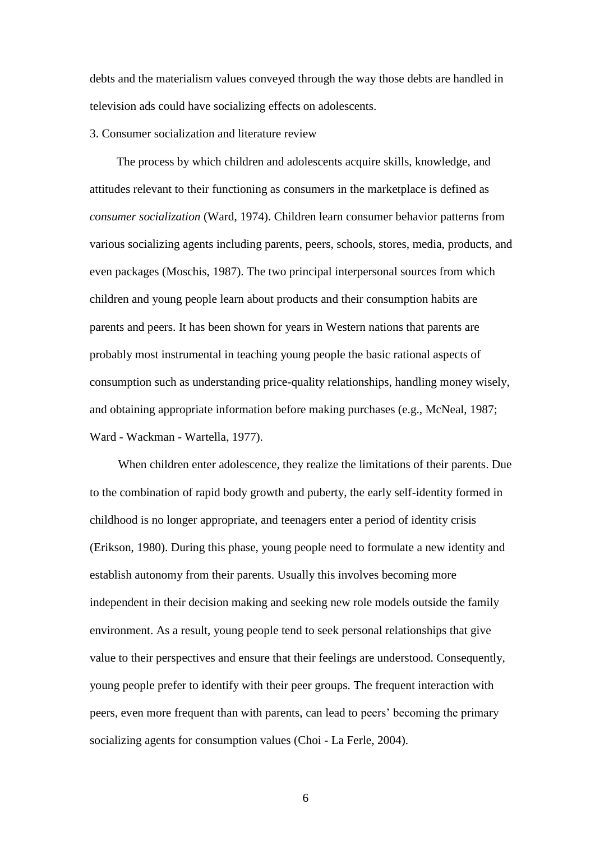debts and the materialism values conveyed through the way those debts are handled in television ads could have socializing effects on adolescents.

#### 3. Consumer socialization and literature review

The process by which children and adolescents acquire skills, knowledge, and attitudes relevant to their functioning as consumers in the marketplace is defined as *consumer socialization* (Ward, 1974). Children learn consumer behavior patterns from various socializing agents including parents, peers, schools, stores, media, products, and even packages (Moschis, 1987). The two principal interpersonal sources from which children and young people learn about products and their consumption habits are parents and peers. It has been shown for years in Western nations that parents are probably most instrumental in teaching young people the basic rational aspects of consumption such as understanding price-quality relationships, handling money wisely, and obtaining appropriate information before making purchases (e.g., McNeal, 1987; Ward - Wackman - Wartella, 1977).

When children enter adolescence, they realize the limitations of their parents. Due to the combination of rapid body growth and puberty, the early self-identity formed in childhood is no longer appropriate, and teenagers enter a period of identity crisis (Erikson, 1980). During this phase, young people need to formulate a new identity and establish autonomy from their parents. Usually this involves becoming more independent in their decision making and seeking new role models outside the family environment. As a result, young people tend to seek personal relationships that give value to their perspectives and ensure that their feelings are understood. Consequently, young people prefer to identify with their peer groups. The frequent interaction with peers, even more frequent than with parents, can lead to peers' becoming the primary socializing agents for consumption values (Choi - La Ferle, 2004).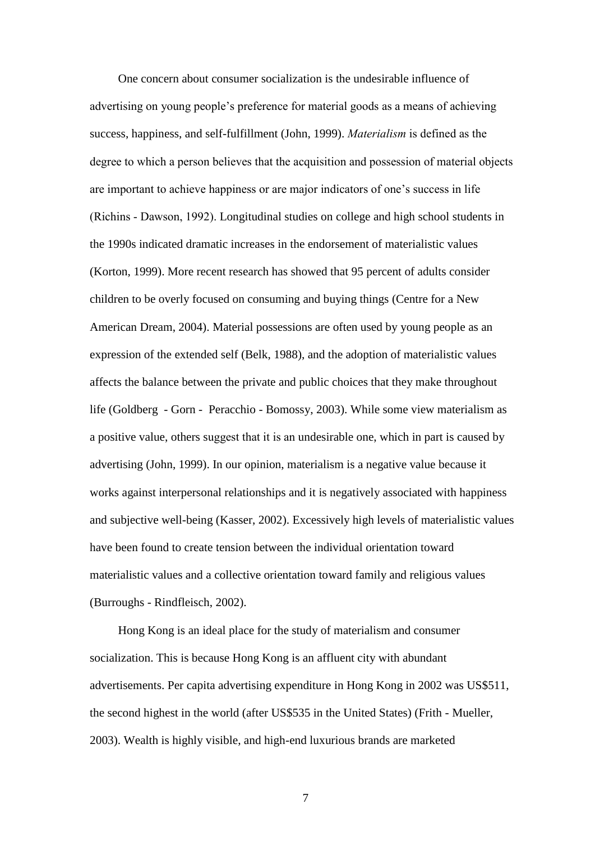One concern about consumer socialization is the undesirable influence of advertising on young people's preference for material goods as a means of achieving success, happiness, and self-fulfillment (John, 1999). *Materialism* is defined as the degree to which a person believes that the acquisition and possession of material objects are important to achieve happiness or are major indicators of one's success in life (Richins - Dawson, 1992). Longitudinal studies on college and high school students in the 1990s indicated dramatic increases in the endorsement of materialistic values (Korton, 1999). More recent research has showed that 95 percent of adults consider children to be overly focused on consuming and buying things (Centre for a New American Dream, 2004). Material possessions are often used by young people as an expression of the extended self (Belk, 1988), and the adoption of materialistic values affects the balance between the private and public choices that they make throughout life (Goldberg - Gorn - Peracchio - Bomossy, 2003). While some view materialism as a positive value, others suggest that it is an undesirable one, which in part is caused by advertising (John, 1999). In our opinion, materialism is a negative value because it works against interpersonal relationships and it is negatively associated with happiness and subjective well-being (Kasser, 2002). Excessively high levels of materialistic values have been found to create tension between the individual orientation toward materialistic values and a collective orientation toward family and religious values (Burroughs - Rindfleisch, 2002).

Hong Kong is an ideal place for the study of materialism and consumer socialization. This is because Hong Kong is an affluent city with abundant advertisements. Per capita advertising expenditure in Hong Kong in 2002 was US\$511, the second highest in the world (after US\$535 in the United States) (Frith - Mueller, 2003). Wealth is highly visible, and high-end luxurious brands are marketed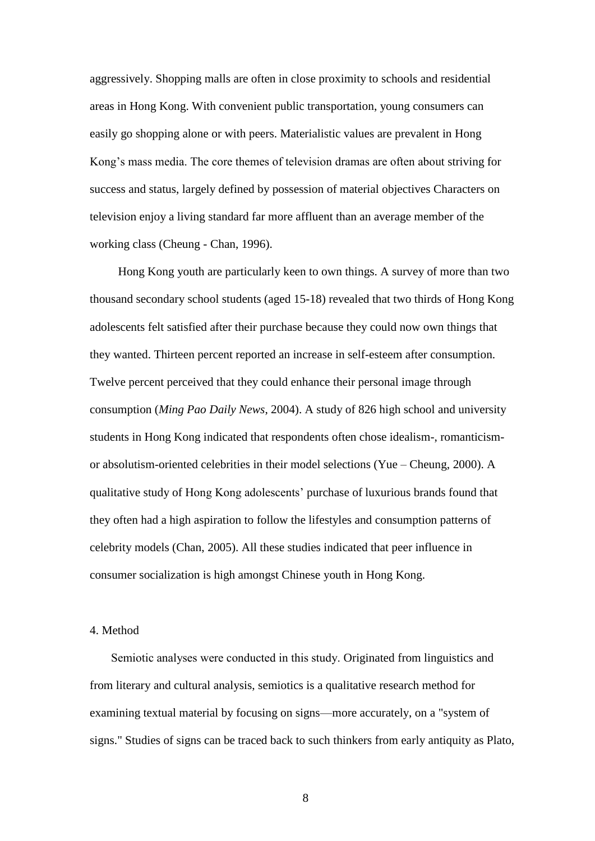aggressively. Shopping malls are often in close proximity to schools and residential areas in Hong Kong. With convenient public transportation, young consumers can easily go shopping alone or with peers. Materialistic values are prevalent in Hong Kong's mass media. The core themes of television dramas are often about striving for success and status, largely defined by possession of material objectives Characters on television enjoy a living standard far more affluent than an average member of the working class (Cheung - Chan, 1996).

Hong Kong youth are particularly keen to own things. A survey of more than two thousand secondary school students (aged 15-18) revealed that two thirds of Hong Kong adolescents felt satisfied after their purchase because they could now own things that they wanted. Thirteen percent reported an increase in self-esteem after consumption. Twelve percent perceived that they could enhance their personal image through consumption (*Ming Pao Daily News*, 2004). A study of 826 high school and university students in Hong Kong indicated that respondents often chose idealism-, romanticismor absolutism-oriented celebrities in their model selections (Yue – Cheung, 2000). A qualitative study of Hong Kong adolescents' purchase of luxurious brands found that they often had a high aspiration to follow the lifestyles and consumption patterns of celebrity models (Chan, 2005). All these studies indicated that peer influence in consumer socialization is high amongst Chinese youth in Hong Kong.

#### 4. Method

Semiotic analyses were conducted in this study. Originated from linguistics and from literary and cultural analysis, semiotics is a qualitative research method for examining textual material by focusing on signs—more accurately, on a "system of signs." Studies of signs can be traced back to such thinkers from early antiquity as Plato,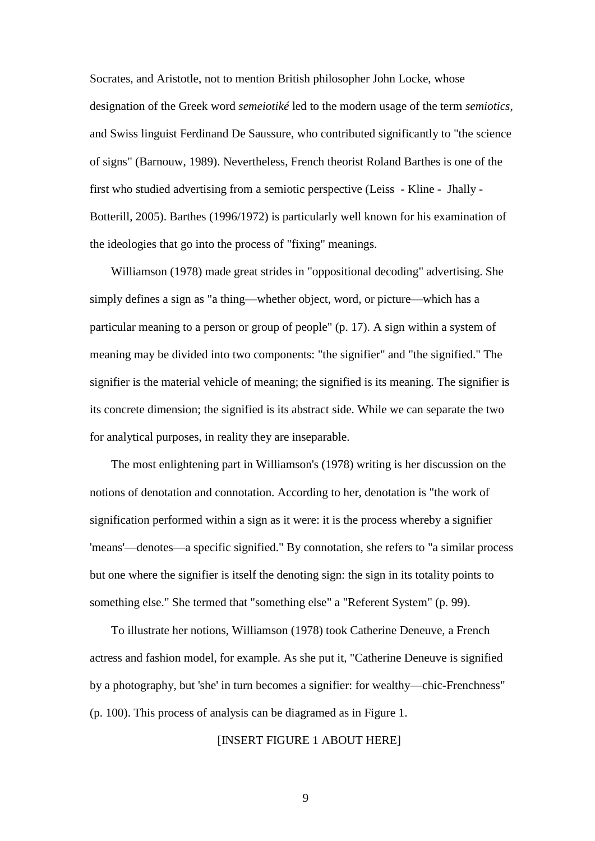Socrates, and Aristotle, not to mention British philosopher John Locke, whose designation of the Greek word *semeiotiké* led to the modern usage of the term *semiotics*, and Swiss linguist Ferdinand De Saussure, who contributed significantly to "the science of signs" (Barnouw, 1989). Nevertheless, French theorist Roland Barthes is one of the first who studied advertising from a semiotic perspective (Leiss - Kline - Jhally - Botterill, 2005). Barthes (1996/1972) is particularly well known for his examination of the ideologies that go into the process of "fixing" meanings.

Williamson (1978) made great strides in "oppositional decoding" advertising. She simply defines a sign as "a thing—whether object, word, or picture—which has a particular meaning to a person or group of people" (p. 17). A sign within a system of meaning may be divided into two components: "the signifier" and "the signified." The signifier is the material vehicle of meaning; the signified is its meaning. The signifier is its concrete dimension; the signified is its abstract side. While we can separate the two for analytical purposes, in reality they are inseparable.

The most enlightening part in Williamson's (1978) writing is her discussion on the notions of denotation and connotation. According to her, denotation is "the work of signification performed within a sign as it were: it is the process whereby a signifier 'means'—denotes—a specific signified." By connotation, she refers to "a similar process but one where the signifier is itself the denoting sign: the sign in its totality points to something else." She termed that "something else" a "Referent System" (p. 99).

To illustrate her notions, Williamson (1978) took Catherine Deneuve, a French actress and fashion model, for example. As she put it, "Catherine Deneuve is signified by a photography, but 'she' in turn becomes a signifier: for wealthy—chic-Frenchness" (p. 100). This process of analysis can be diagramed as in Figure 1.

# [INSERT FIGURE 1 ABOUT HERE]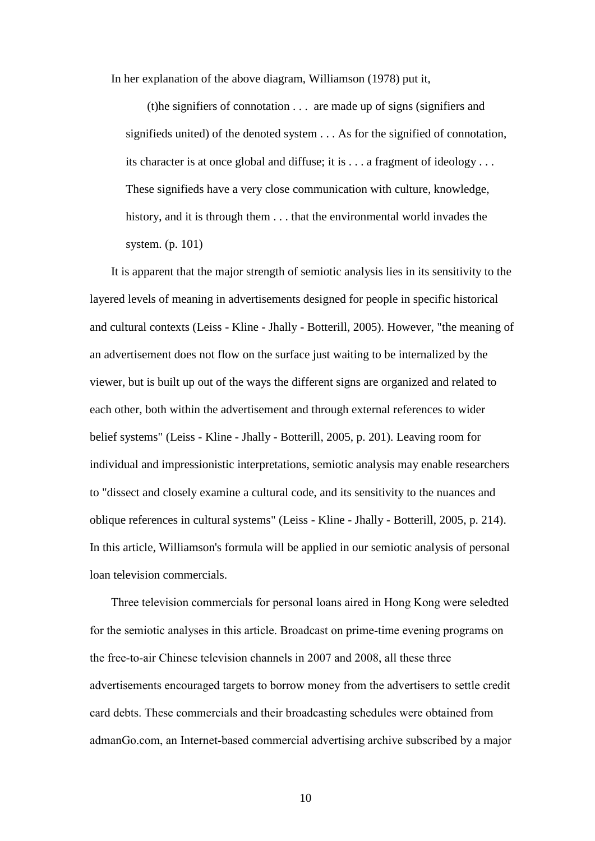In her explanation of the above diagram, Williamson (1978) put it,

(t)he signifiers of connotation . . . are made up of signs (signifiers and signifieds united) of the denoted system . . . As for the signified of connotation, its character is at once global and diffuse; it is . . . a fragment of ideology . . . These signifieds have a very close communication with culture, knowledge, history, and it is through them . . . that the environmental world invades the system. (p. 101)

It is apparent that the major strength of semiotic analysis lies in its sensitivity to the layered levels of meaning in advertisements designed for people in specific historical and cultural contexts (Leiss - Kline - Jhally - Botterill, 2005). However, "the meaning of an advertisement does not flow on the surface just waiting to be internalized by the viewer, but is built up out of the ways the different signs are organized and related to each other, both within the advertisement and through external references to wider belief systems" (Leiss - Kline - Jhally - Botterill, 2005, p. 201). Leaving room for individual and impressionistic interpretations, semiotic analysis may enable researchers to "dissect and closely examine a cultural code, and its sensitivity to the nuances and oblique references in cultural systems" (Leiss - Kline - Jhally - Botterill, 2005, p. 214). In this article, Williamson's formula will be applied in our semiotic analysis of personal loan television commercials.

Three television commercials for personal loans aired in Hong Kong were seledted for the semiotic analyses in this article. Broadcast on prime-time evening programs on the free-to-air Chinese television channels in 2007 and 2008, all these three advertisements encouraged targets to borrow money from the advertisers to settle credit card debts. These commercials and their broadcasting schedules were obtained from admanGo.com, an Internet-based commercial advertising archive subscribed by a major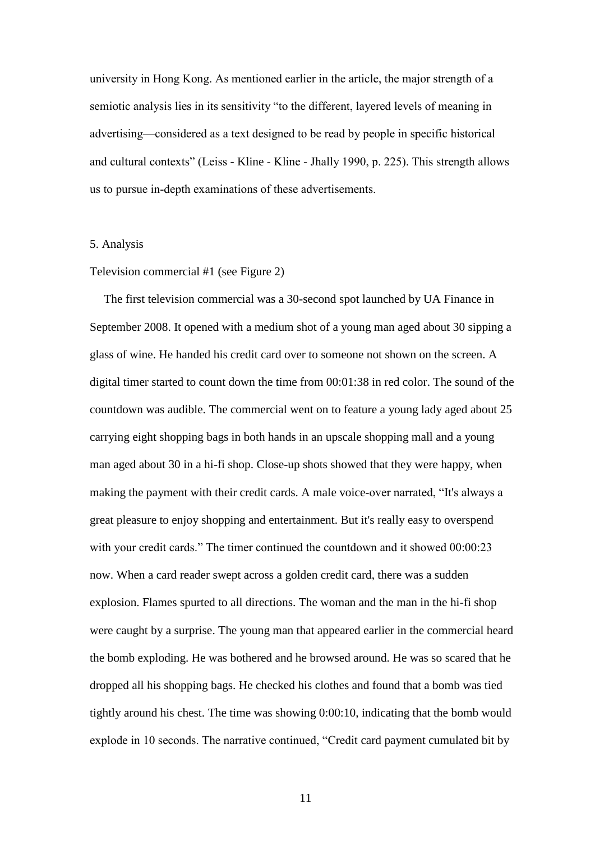university in Hong Kong. As mentioned earlier in the article, the major strength of a semiotic analysis lies in its sensitivity "to the different, layered levels of meaning in advertising—considered as a text designed to be read by people in specific historical and cultural contexts" (Leiss - Kline - Kline - Jhally 1990, p. 225). This strength allows us to pursue in-depth examinations of these advertisements.

#### 5. Analysis

#### Television commercial #1 (see Figure 2)

The first television commercial was a 30-second spot launched by UA Finance in September 2008. It opened with a medium shot of a young man aged about 30 sipping a glass of wine. He handed his credit card over to someone not shown on the screen. A digital timer started to count down the time from 00:01:38 in red color. The sound of the countdown was audible. The commercial went on to feature a young lady aged about 25 carrying eight shopping bags in both hands in an upscale shopping mall and a young man aged about 30 in a hi-fi shop. Close-up shots showed that they were happy, when making the payment with their credit cards. A male voice-over narrated, "It's always a great pleasure to enjoy shopping and entertainment. But it's really easy to overspend with your credit cards." The timer continued the countdown and it showed  $00:00:23$ now. When a card reader swept across a golden credit card, there was a sudden explosion. Flames spurted to all directions. The woman and the man in the hi-fi shop were caught by a surprise. The young man that appeared earlier in the commercial heard the bomb exploding. He was bothered and he browsed around. He was so scared that he dropped all his shopping bags. He checked his clothes and found that a bomb was tied tightly around his chest. The time was showing 0:00:10, indicating that the bomb would explode in 10 seconds. The narrative continued, "Credit card payment cumulated bit by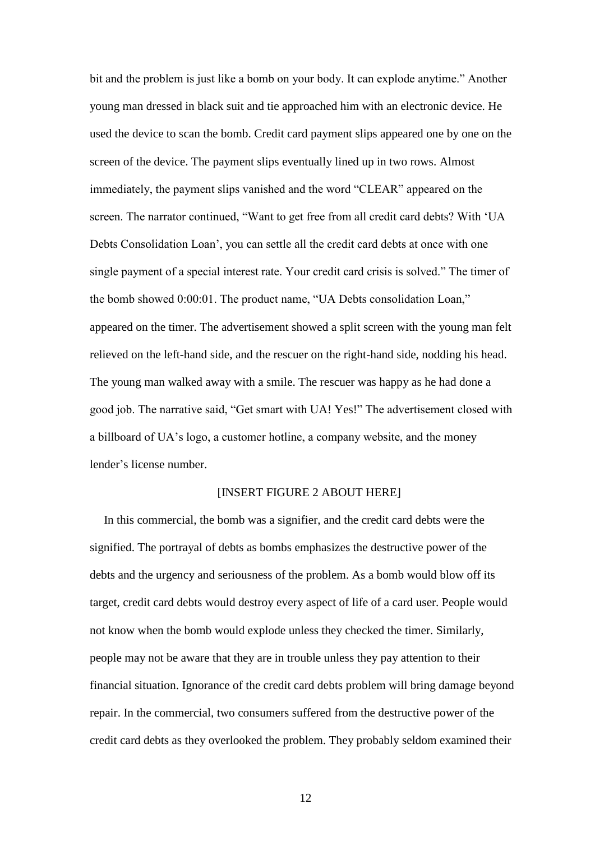bit and the problem is just like a bomb on your body. It can explode anytime." Another young man dressed in black suit and tie approached him with an electronic device. He used the device to scan the bomb. Credit card payment slips appeared one by one on the screen of the device. The payment slips eventually lined up in two rows. Almost immediately, the payment slips vanished and the word "CLEAR" appeared on the screen. The narrator continued, "Want to get free from all credit card debts? With 'UA Debts Consolidation Loan', you can settle all the credit card debts at once with one single payment of a special interest rate. Your credit card crisis is solved." The timer of the bomb showed 0:00:01. The product name, "UA Debts consolidation Loan," appeared on the timer. The advertisement showed a split screen with the young man felt relieved on the left-hand side, and the rescuer on the right-hand side, nodding his head. The young man walked away with a smile. The rescuer was happy as he had done a good job. The narrative said, "Get smart with UA! Yes!" The advertisement closed with a billboard of UA's logo, a customer hotline, a company website, and the money lender's license number.

## [INSERT FIGURE 2 ABOUT HERE]

In this commercial, the bomb was a signifier, and the credit card debts were the signified. The portrayal of debts as bombs emphasizes the destructive power of the debts and the urgency and seriousness of the problem. As a bomb would blow off its target, credit card debts would destroy every aspect of life of a card user. People would not know when the bomb would explode unless they checked the timer. Similarly, people may not be aware that they are in trouble unless they pay attention to their financial situation. Ignorance of the credit card debts problem will bring damage beyond repair. In the commercial, two consumers suffered from the destructive power of the credit card debts as they overlooked the problem. They probably seldom examined their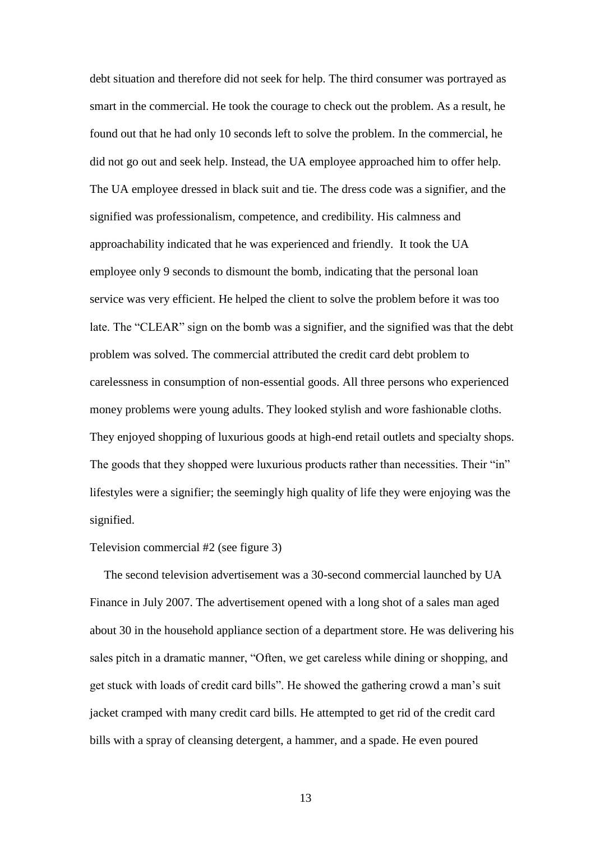debt situation and therefore did not seek for help. The third consumer was portrayed as smart in the commercial. He took the courage to check out the problem. As a result, he found out that he had only 10 seconds left to solve the problem. In the commercial, he did not go out and seek help. Instead, the UA employee approached him to offer help. The UA employee dressed in black suit and tie. The dress code was a signifier, and the signified was professionalism, competence, and credibility. His calmness and approachability indicated that he was experienced and friendly. It took the UA employee only 9 seconds to dismount the bomb, indicating that the personal loan service was very efficient. He helped the client to solve the problem before it was too late. The "CLEAR" sign on the bomb was a signifier, and the signified was that the debt problem was solved. The commercial attributed the credit card debt problem to carelessness in consumption of non-essential goods. All three persons who experienced money problems were young adults. They looked stylish and wore fashionable cloths. They enjoyed shopping of luxurious goods at high-end retail outlets and specialty shops. The goods that they shopped were luxurious products rather than necessities. Their "in" lifestyles were a signifier; the seemingly high quality of life they were enjoying was the signified.

## Television commercial #2 (see figure 3)

The second television advertisement was a 30-second commercial launched by UA Finance in July 2007. The advertisement opened with a long shot of a sales man aged about 30 in the household appliance section of a department store. He was delivering his sales pitch in a dramatic manner, "Often, we get careless while dining or shopping, and get stuck with loads of credit card bills". He showed the gathering crowd a man's suit jacket cramped with many credit card bills. He attempted to get rid of the credit card bills with a spray of cleansing detergent, a hammer, and a spade. He even poured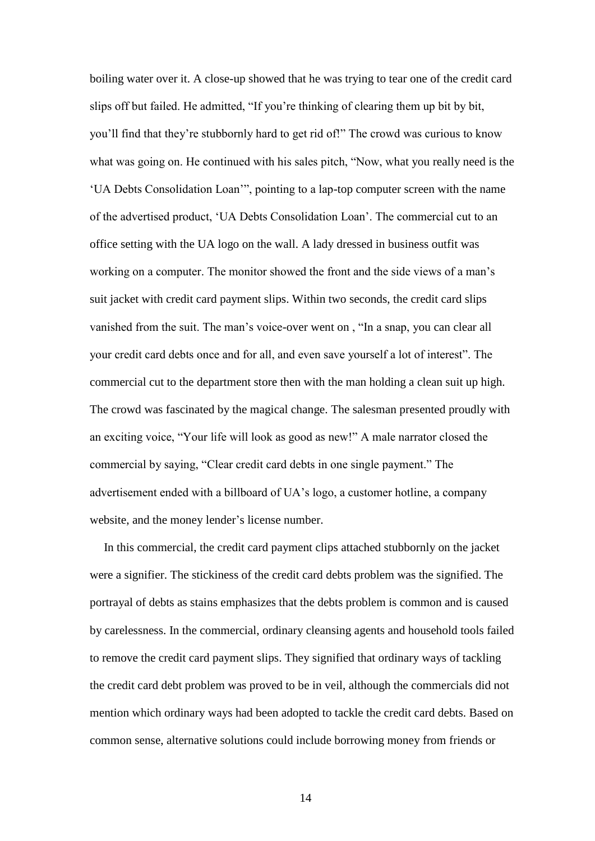boiling water over it. A close-up showed that he was trying to tear one of the credit card slips off but failed. He admitted, "If you're thinking of clearing them up bit by bit, you'll find that they're stubbornly hard to get rid of!" The crowd was curious to know what was going on. He continued with his sales pitch, "Now, what you really need is the 'UA Debts Consolidation Loan'", pointing to a lap-top computer screen with the name of the advertised product, 'UA Debts Consolidation Loan'. The commercial cut to an office setting with the UA logo on the wall. A lady dressed in business outfit was working on a computer. The monitor showed the front and the side views of a man's suit jacket with credit card payment slips. Within two seconds, the credit card slips vanished from the suit. The man's voice-over went on , "In a snap, you can clear all your credit card debts once and for all, and even save yourself a lot of interest". The commercial cut to the department store then with the man holding a clean suit up high. The crowd was fascinated by the magical change. The salesman presented proudly with an exciting voice, "Your life will look as good as new!" A male narrator closed the commercial by saying, "Clear credit card debts in one single payment." The advertisement ended with a billboard of UA's logo, a customer hotline, a company website, and the money lender's license number.

In this commercial, the credit card payment clips attached stubbornly on the jacket were a signifier. The stickiness of the credit card debts problem was the signified. The portrayal of debts as stains emphasizes that the debts problem is common and is caused by carelessness. In the commercial, ordinary cleansing agents and household tools failed to remove the credit card payment slips. They signified that ordinary ways of tackling the credit card debt problem was proved to be in veil, although the commercials did not mention which ordinary ways had been adopted to tackle the credit card debts. Based on common sense, alternative solutions could include borrowing money from friends or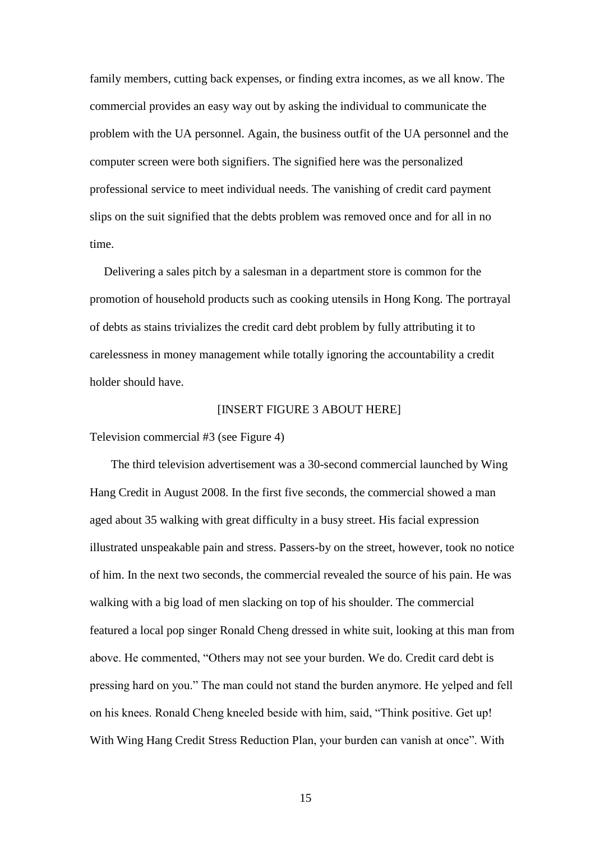family members, cutting back expenses, or finding extra incomes, as we all know. The commercial provides an easy way out by asking the individual to communicate the problem with the UA personnel. Again, the business outfit of the UA personnel and the computer screen were both signifiers. The signified here was the personalized professional service to meet individual needs. The vanishing of credit card payment slips on the suit signified that the debts problem was removed once and for all in no time.

Delivering a sales pitch by a salesman in a department store is common for the promotion of household products such as cooking utensils in Hong Kong. The portrayal of debts as stains trivializes the credit card debt problem by fully attributing it to carelessness in money management while totally ignoring the accountability a credit holder should have.

## [INSERT FIGURE 3 ABOUT HERE]

Television commercial #3 (see Figure 4)

The third television advertisement was a 30-second commercial launched by Wing Hang Credit in August 2008. In the first five seconds, the commercial showed a man aged about 35 walking with great difficulty in a busy street. His facial expression illustrated unspeakable pain and stress. Passers-by on the street, however, took no notice of him. In the next two seconds, the commercial revealed the source of his pain. He was walking with a big load of men slacking on top of his shoulder. The commercial featured a local pop singer Ronald Cheng dressed in white suit, looking at this man from above. He commented, "Others may not see your burden. We do. Credit card debt is pressing hard on you." The man could not stand the burden anymore. He yelped and fell on his knees. Ronald Cheng kneeled beside with him, said, "Think positive. Get up! With Wing Hang Credit Stress Reduction Plan, your burden can vanish at once". With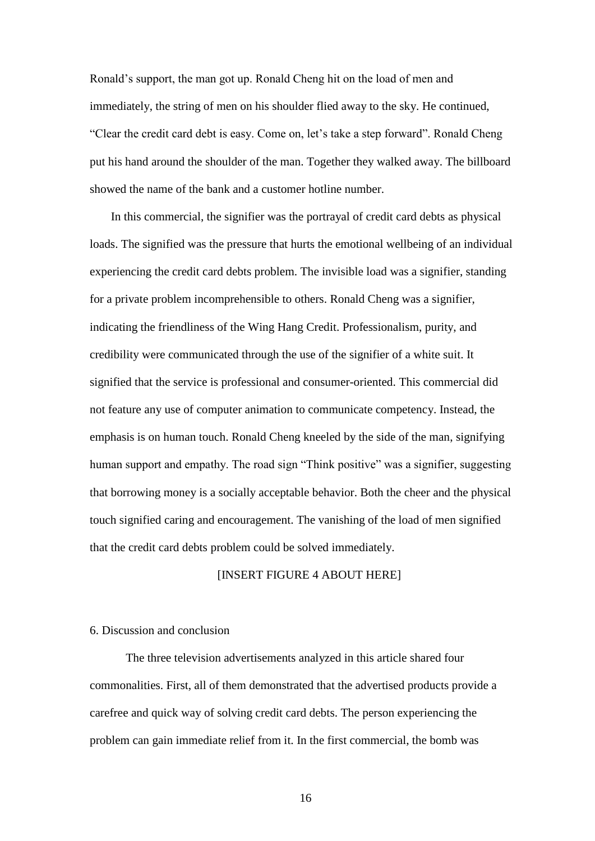Ronald's support, the man got up. Ronald Cheng hit on the load of men and immediately, the string of men on his shoulder flied away to the sky. He continued, "Clear the credit card debt is easy. Come on, let's take a step forward". Ronald Cheng put his hand around the shoulder of the man. Together they walked away. The billboard showed the name of the bank and a customer hotline number.

In this commercial, the signifier was the portrayal of credit card debts as physical loads. The signified was the pressure that hurts the emotional wellbeing of an individual experiencing the credit card debts problem. The invisible load was a signifier, standing for a private problem incomprehensible to others. Ronald Cheng was a signifier, indicating the friendliness of the Wing Hang Credit. Professionalism, purity, and credibility were communicated through the use of the signifier of a white suit. It signified that the service is professional and consumer-oriented. This commercial did not feature any use of computer animation to communicate competency. Instead, the emphasis is on human touch. Ronald Cheng kneeled by the side of the man, signifying human support and empathy. The road sign "Think positive" was a signifier, suggesting that borrowing money is a socially acceptable behavior. Both the cheer and the physical touch signified caring and encouragement. The vanishing of the load of men signified that the credit card debts problem could be solved immediately.

## [INSERT FIGURE 4 ABOUT HERE]

# 6. Discussion and conclusion

The three television advertisements analyzed in this article shared four commonalities. First, all of them demonstrated that the advertised products provide a carefree and quick way of solving credit card debts. The person experiencing the problem can gain immediate relief from it. In the first commercial, the bomb was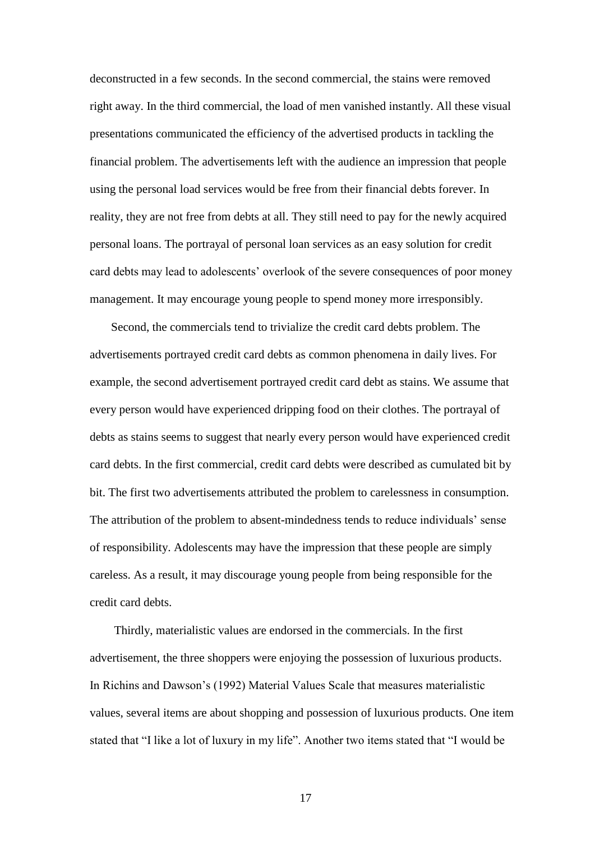deconstructed in a few seconds. In the second commercial, the stains were removed right away. In the third commercial, the load of men vanished instantly. All these visual presentations communicated the efficiency of the advertised products in tackling the financial problem. The advertisements left with the audience an impression that people using the personal load services would be free from their financial debts forever. In reality, they are not free from debts at all. They still need to pay for the newly acquired personal loans. The portrayal of personal loan services as an easy solution for credit card debts may lead to adolescents' overlook of the severe consequences of poor money management. It may encourage young people to spend money more irresponsibly.

Second, the commercials tend to trivialize the credit card debts problem. The advertisements portrayed credit card debts as common phenomena in daily lives. For example, the second advertisement portrayed credit card debt as stains. We assume that every person would have experienced dripping food on their clothes. The portrayal of debts as stains seems to suggest that nearly every person would have experienced credit card debts. In the first commercial, credit card debts were described as cumulated bit by bit. The first two advertisements attributed the problem to carelessness in consumption. The attribution of the problem to absent-mindedness tends to reduce individuals' sense of responsibility. Adolescents may have the impression that these people are simply careless. As a result, it may discourage young people from being responsible for the credit card debts.

Thirdly, materialistic values are endorsed in the commercials. In the first advertisement, the three shoppers were enjoying the possession of luxurious products. In Richins and Dawson's (1992) Material Values Scale that measures materialistic values, several items are about shopping and possession of luxurious products. One item stated that "I like a lot of luxury in my life". Another two items stated that "I would be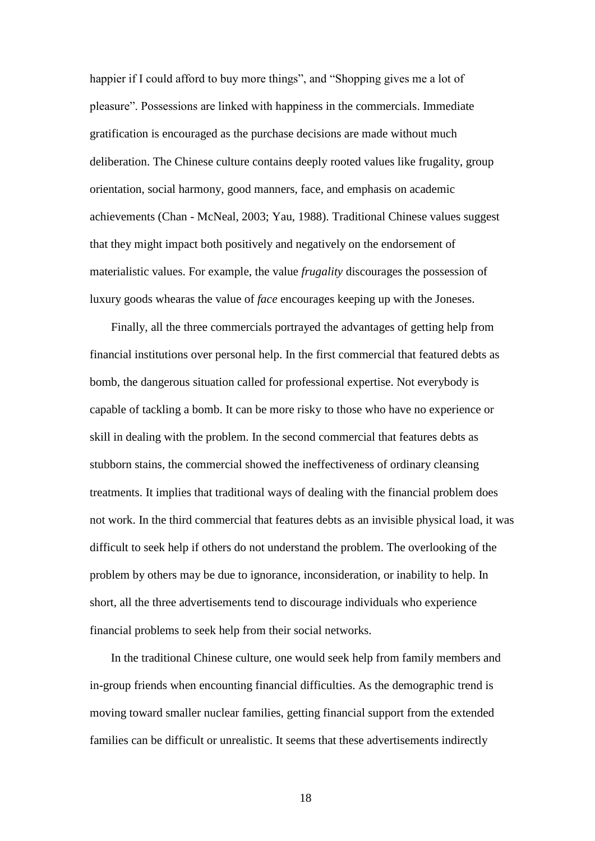happier if I could afford to buy more things", and "Shopping gives me a lot of pleasure". Possessions are linked with happiness in the commercials. Immediate gratification is encouraged as the purchase decisions are made without much deliberation. The Chinese culture contains deeply rooted values like frugality, group orientation, social harmony, good manners, face, and emphasis on academic achievements (Chan - McNeal, 2003; Yau, 1988). Traditional Chinese values suggest that they might impact both positively and negatively on the endorsement of materialistic values. For example, the value *frugality* discourages the possession of luxury goods whearas the value of *face* encourages keeping up with the Joneses.

Finally, all the three commercials portrayed the advantages of getting help from financial institutions over personal help. In the first commercial that featured debts as bomb, the dangerous situation called for professional expertise. Not everybody is capable of tackling a bomb. It can be more risky to those who have no experience or skill in dealing with the problem. In the second commercial that features debts as stubborn stains, the commercial showed the ineffectiveness of ordinary cleansing treatments. It implies that traditional ways of dealing with the financial problem does not work. In the third commercial that features debts as an invisible physical load, it was difficult to seek help if others do not understand the problem. The overlooking of the problem by others may be due to ignorance, inconsideration, or inability to help. In short, all the three advertisements tend to discourage individuals who experience financial problems to seek help from their social networks.

In the traditional Chinese culture, one would seek help from family members and in-group friends when encounting financial difficulties. As the demographic trend is moving toward smaller nuclear families, getting financial support from the extended families can be difficult or unrealistic. It seems that these advertisements indirectly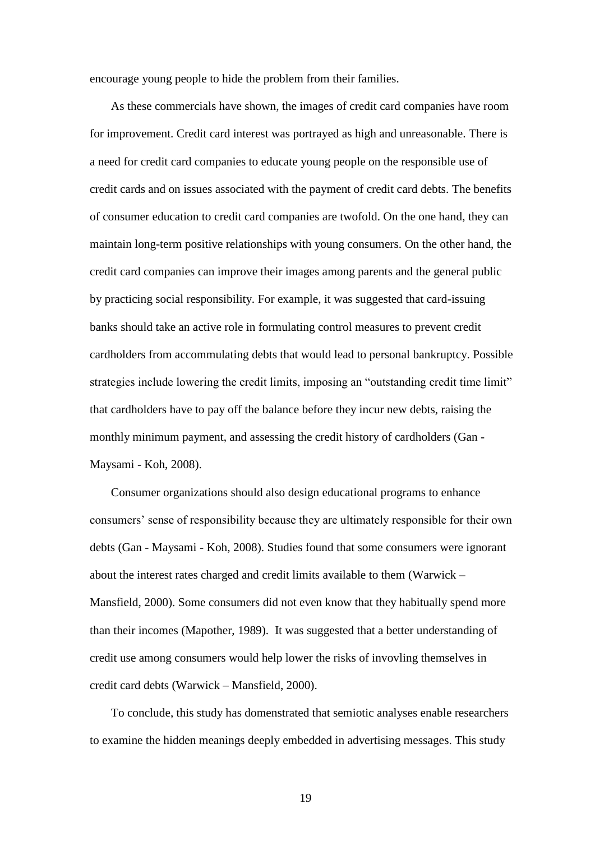encourage young people to hide the problem from their families.

As these commercials have shown, the images of credit card companies have room for improvement. Credit card interest was portrayed as high and unreasonable. There is a need for credit card companies to educate young people on the responsible use of credit cards and on issues associated with the payment of credit card debts. The benefits of consumer education to credit card companies are twofold. On the one hand, they can maintain long-term positive relationships with young consumers. On the other hand, the credit card companies can improve their images among parents and the general public by practicing social responsibility. For example, it was suggested that card-issuing banks should take an active role in formulating control measures to prevent credit cardholders from accommulating debts that would lead to personal bankruptcy. Possible strategies include lowering the credit limits, imposing an "outstanding credit time limit" that cardholders have to pay off the balance before they incur new debts, raising the monthly minimum payment, and assessing the credit history of cardholders (Gan - Maysami - Koh, 2008).

Consumer organizations should also design educational programs to enhance consumers' sense of responsibility because they are ultimately responsible for their own debts (Gan - Maysami - Koh, 2008). Studies found that some consumers were ignorant about the interest rates charged and credit limits available to them (Warwick – Mansfield, 2000). Some consumers did not even know that they habitually spend more than their incomes (Mapother, 1989). It was suggested that a better understanding of credit use among consumers would help lower the risks of invovling themselves in credit card debts (Warwick – Mansfield, 2000).

To conclude, this study has domenstrated that semiotic analyses enable researchers to examine the hidden meanings deeply embedded in advertising messages. This study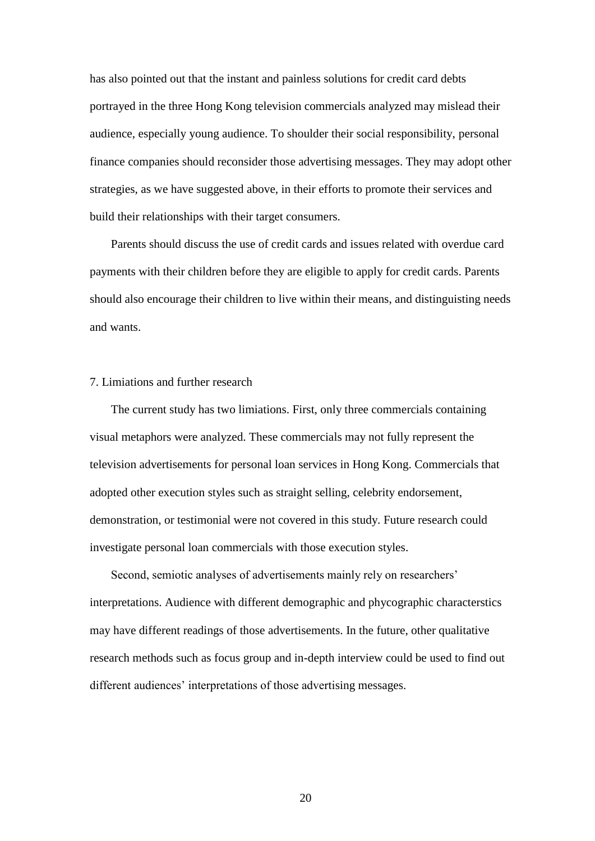has also pointed out that the instant and painless solutions for credit card debts portrayed in the three Hong Kong television commercials analyzed may mislead their audience, especially young audience. To shoulder their social responsibility, personal finance companies should reconsider those advertising messages. They may adopt other strategies, as we have suggested above, in their efforts to promote their services and build their relationships with their target consumers.

Parents should discuss the use of credit cards and issues related with overdue card payments with their children before they are eligible to apply for credit cards. Parents should also encourage their children to live within their means, and distinguisting needs and wants.

#### 7. Limiations and further research

The current study has two limiations. First, only three commercials containing visual metaphors were analyzed. These commercials may not fully represent the television advertisements for personal loan services in Hong Kong. Commercials that adopted other execution styles such as straight selling, celebrity endorsement, demonstration, or testimonial were not covered in this study. Future research could investigate personal loan commercials with those execution styles.

Second, semiotic analyses of advertisements mainly rely on researchers' interpretations. Audience with different demographic and phycographic characterstics may have different readings of those advertisements. In the future, other qualitative research methods such as focus group and in-depth interview could be used to find out different audiences' interpretations of those advertising messages.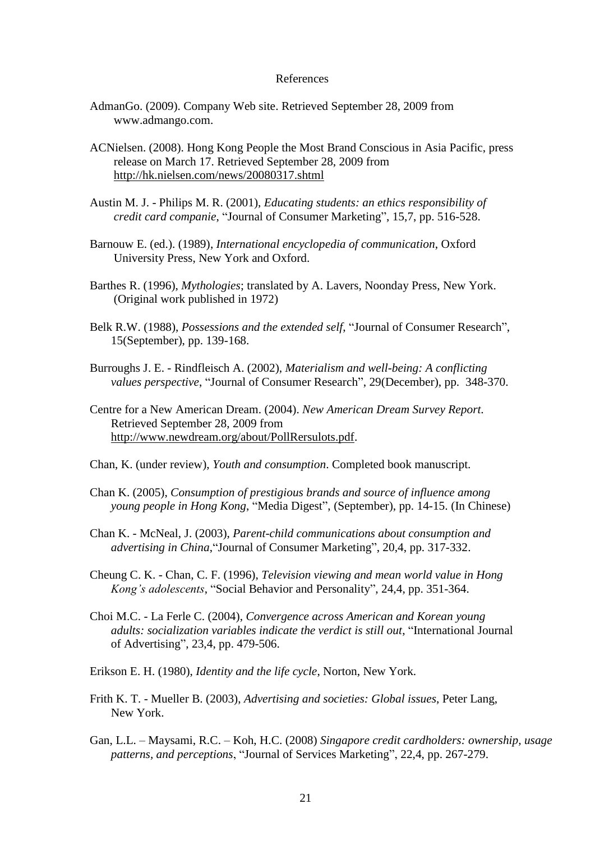#### References

- AdmanGo. (2009). Company Web site. Retrieved September 28, 2009 from www.admango.com.
- ACNielsen. (2008). Hong Kong People the Most Brand Conscious in Asia Pacific, press release on March 17. Retrieved September 28, 2009 from <http://hk.nielsen.com/news/20080317.shtml>
- Austin M. J. Philips M. R. (2001), *Educating students: an ethics responsibility of credit card companie*, "Journal of Consumer Marketing", 15,7, pp. 516-528.
- Barnouw E. (ed.). (1989), *International encyclopedia of communication*, Oxford University Press, New York and Oxford.
- Barthes R. (1996), *Mythologies*; translated by A. Lavers, Noonday Press, New York. (Original work published in 1972)
- Belk R.W. (1988), *Possessions and the extended self*, "Journal of Consumer Research", 15(September), pp. 139-168.
- Burroughs J. E. Rindfleisch A. (2002), *Materialism and well-being: A conflicting values perspective*, "Journal of Consumer Research", 29(December), pp. 348-370.
- Centre for a New American Dream. (2004). *New American Dream Survey Report.* Retrieved September 28, 2009 from [http://www.newdream.org/about/PollRersulots.pdf.](http://www.newdream.org/about/PollRersulots.pdf)
- Chan, K. (under review), *Youth and consumption*. Completed book manuscript.
- Chan K. (2005), *Consumption of prestigious brands and source of influence among young people in Hong Kong*, "Media Digest", (September), pp. 14-15. (In Chinese)
- Chan K. McNeal, J. (2003), *Parent-child communications about consumption and advertising in China*,"Journal of Consumer Marketing", 20,4, pp. 317-332.
- Cheung C. K. Chan, C. F. (1996), *Television viewing and mean world value in Hong Kong's adolescents*, "Social Behavior and Personality", 24,4, pp. 351-364.
- Choi M.C. La Ferle C. (2004), *Convergence across American and Korean young adults: socialization variables indicate the verdict is still out*, "International Journal of Advertising", 23,4, pp. 479-506.
- Erikson E. H. (1980), *Identity and the life cycle*, Norton, New York.
- Frith K. T. Mueller B. (2003), *Advertising and societies: Global issues*, Peter Lang, New York.
- Gan, L.L. Maysami, R.C. Koh, H.C. (2008) *[Singapore credit cardholders: ownership, usage](http://www.emeraldinsight.com/Insight/viewContentItem.do;jsessionid=6448E3CBD7906C2A14367397955288EB?contentType=Article&contentId=1732810)  [patterns, and perceptions](http://www.emeraldinsight.com/Insight/viewContentItem.do;jsessionid=6448E3CBD7906C2A14367397955288EB?contentType=Article&contentId=1732810)*, ["Journal of Services Marketing"](http://www.emeraldinsight.com/0887-6045.htm), 22,4, pp. 267-279.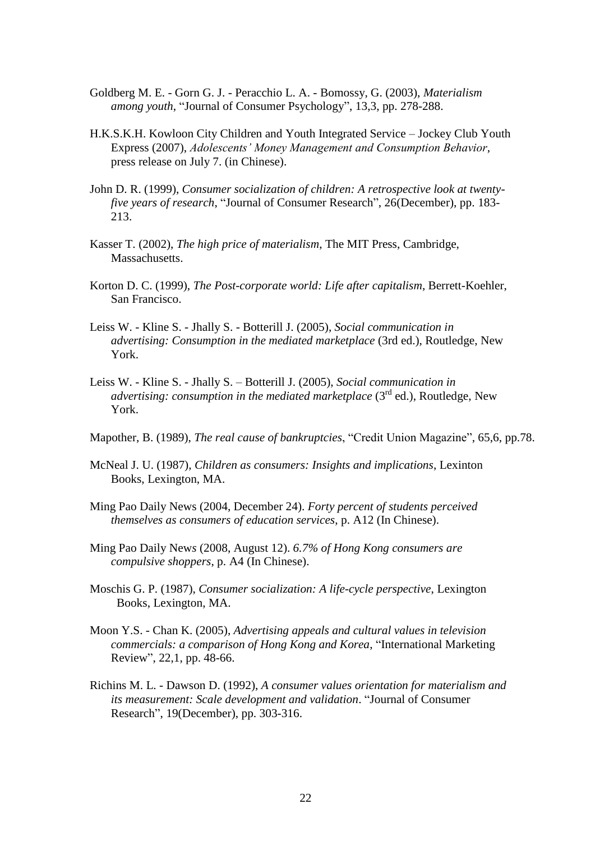- Goldberg M. E. Gorn G. J. Peracchio L. A. Bomossy, G. (2003), *Materialism among youth*, "Journal of Consumer Psychology", 13,3, pp. 278-288.
- H.K.S.K.H. Kowloon City Children and Youth Integrated Service Jockey Club Youth Express (2007), *Adolescents' Money Management and Consumption Behavior*, press release on July 7. (in Chinese).
- John D. R. (1999), *Consumer socialization of children: A retrospective look at twentyfive years of research*, "Journal of Consumer Research", 26(December), pp. 183- 213.
- Kasser T. (2002), *The high price of materialism*, The MIT Press, Cambridge, Massachusetts.
- Korton D. C. (1999), *The Post-corporate world: Life after capitalism*, Berrett-Koehler, San Francisco.
- Leiss W. Kline S. Jhally S. Botterill J. (2005), *Social communication in advertising: Consumption in the mediated marketplace* (3rd ed.), Routledge, New York.
- Leiss W. Kline S. Jhally S. Botterill J. (2005), *Social communication in advertising: consumption in the mediated marketplace* (3<sup>rd</sup> ed.), Routledge, New York.

Mapother, B. (1989), *The real cause of bankruptcies*, "Credit Union Magazine", 65,6, pp.78.

- McNeal J. U. (1987), *Children as consumers: Insights and implications*, Lexinton Books, Lexington, MA.
- Ming Pao Daily News (2004, December 24). *Forty percent of students perceived themselves as consumers of education services*, p. A12 (In Chinese).
- Ming Pao Daily New*s* (2008, August 12). *6.7% of Hong Kong consumers are compulsive shoppers*, p. A4 (In Chinese).
- Moschis G. P. (1987), *Consumer socialization: A life-cycle perspective*, Lexington Books, Lexington, MA.
- Moon Y.S. Chan K. (2005), *Advertising appeals and cultural values in television commercials: a comparison of Hong Kong and Korea*, "International Marketing Review", 22,1, pp. 48-66.
- Richins M. L. Dawson D. (1992), *A consumer values orientation for materialism and its measurement: Scale development and validation*. "Journal of Consumer Research", 19(December), pp. 303-316.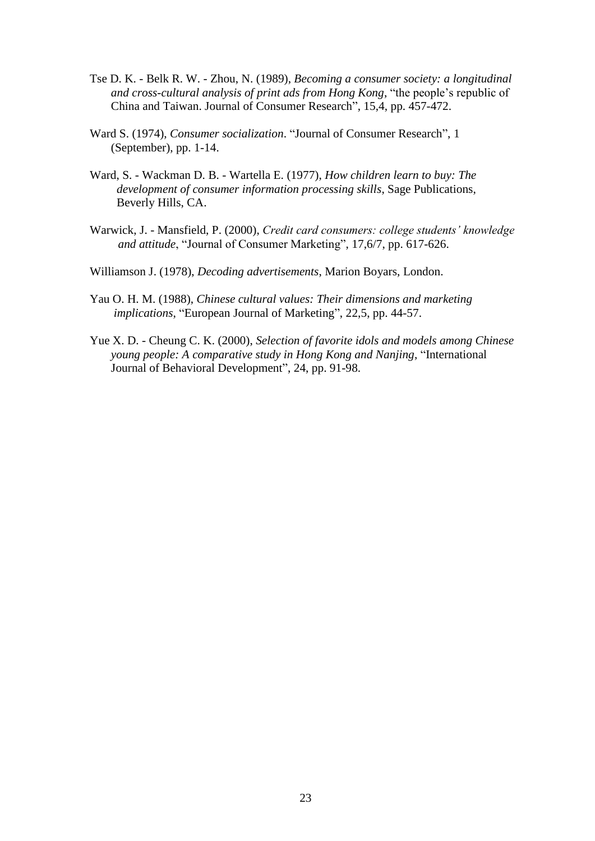- Tse D. K. Belk R. W. Zhou, N. (1989), *Becoming a consumer society: a longitudinal and cross-cultural analysis of print ads from Hong Kong*, "the people's republic of China and Taiwan. Journal of Consumer Research", 15,4, pp. 457-472.
- Ward S. (1974), *Consumer socialization*. "Journal of Consumer Research", 1 (September), pp. 1-14.
- Ward, S. Wackman D. B. Wartella E. (1977), *How children learn to buy: The development of consumer information processing skills*, Sage Publications, Beverly Hills, CA.
- Warwick, J. Mansfield, P. (2000), *Credit card consumers: college students' knowledge and attitude*, "Journal of Consumer Marketing", 17,6/7, pp. 617-626.
- Williamson J. (1978), *Decoding advertisements*, Marion Boyars, London.
- Yau O. H. M. (1988), *Chinese cultural values: Their dimensions and marketing implications*, "European Journal of Marketing", 22,5, pp. 44-57.
- Yue X. D. Cheung C. K. (2000), *Selection of favorite idols and models among Chinese young people: A comparative study in Hong Kong and Nanjing*, "International Journal of Behavioral Development", 24, pp. 91-98.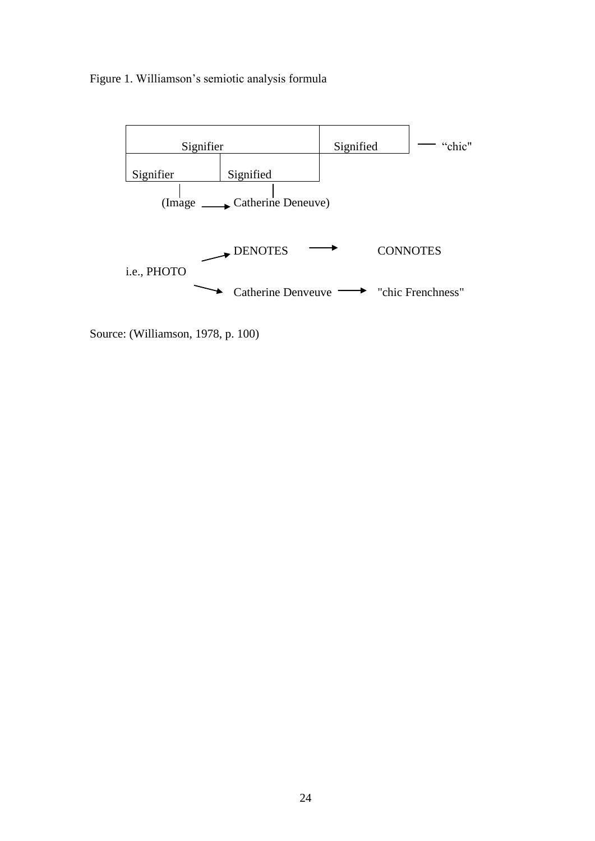# Figure 1. Williamson's semiotic analysis formula



Source: (Williamson, 1978, p. 100)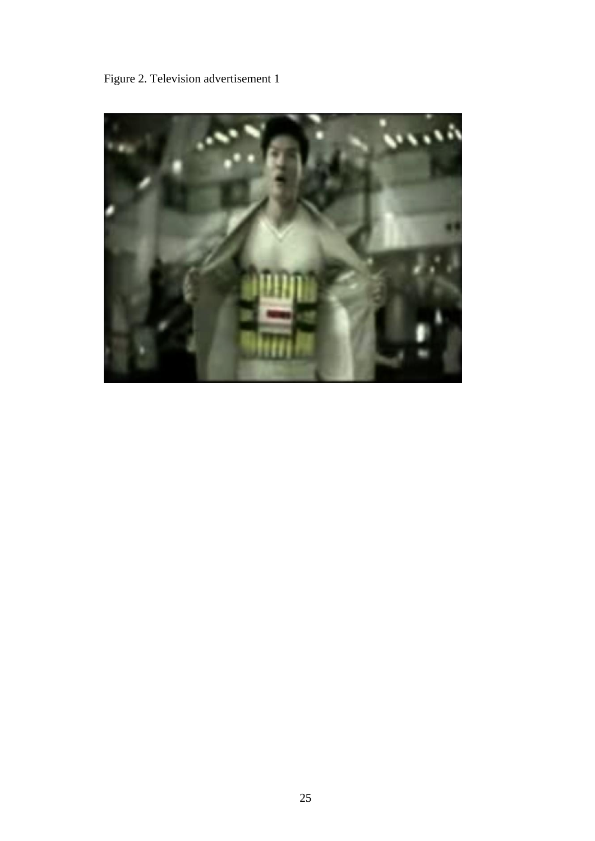Figure 2. Television advertisement 1

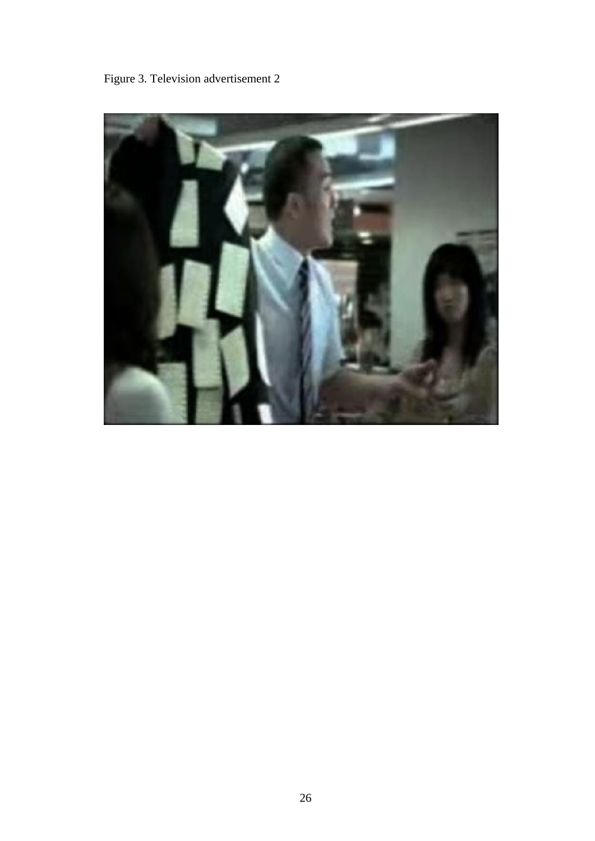Figure 3. Television advertisement 2